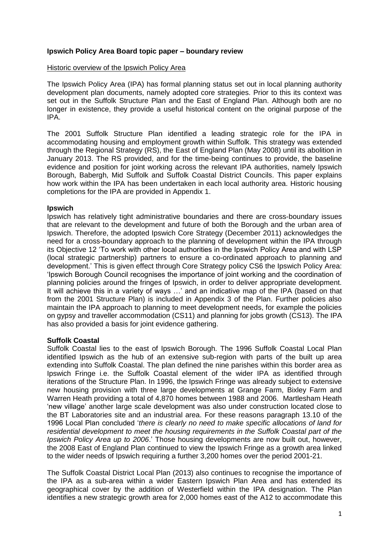# **Ipswich Policy Area Board topic paper – boundary review**

#### Historic overview of the Ipswich Policy Area

The Ipswich Policy Area (IPA) has formal planning status set out in local planning authority development plan documents, namely adopted core strategies. Prior to this its context was set out in the Suffolk Structure Plan and the East of England Plan. Although both are no longer in existence, they provide a useful historical content on the original purpose of the IPA.

The 2001 Suffolk Structure Plan identified a leading strategic role for the IPA in accommodating housing and employment growth within Suffolk. This strategy was extended through the Regional Strategy (RS), the East of England Plan (May 2008) until its abolition in January 2013. The RS provided, and for the time-being continues to provide, the baseline evidence and position for joint working across the relevant IPA authorities, namely Ipswich Borough, Babergh, Mid Suffolk and Suffolk Coastal District Councils. This paper explains how work within the IPA has been undertaken in each local authority area. Historic housing completions for the IPA are provided in Appendix 1.

#### **Ipswich**

Ipswich has relatively tight administrative boundaries and there are cross-boundary issues that are relevant to the development and future of both the Borough and the urban area of Ipswich. Therefore, the adopted Ipswich Core Strategy (December 2011) acknowledges the need for a cross-boundary approach to the planning of development within the IPA through its Objective 12 'To work with other local authorities in the Ipswich Policy Area and with LSP (local strategic partnership) partners to ensure a co-ordinated approach to planning and development.' This is given effect through Core Strategy policy CS6 the Ipswich Policy Area: 'Ipswich Borough Council recognises the importance of joint working and the coordination of planning policies around the fringes of Ipswich, in order to deliver appropriate development. It will achieve this in a variety of ways …' and an indicative map of the IPA (based on that from the 2001 Structure Plan) is included in Appendix 3 of the Plan. Further policies also maintain the IPA approach to planning to meet development needs, for example the policies on gypsy and traveller accommodation (CS11) and planning for jobs growth (CS13). The IPA has also provided a basis for joint evidence gathering.

# **Suffolk Coastal**

Suffolk Coastal lies to the east of Ipswich Borough. The 1996 Suffolk Coastal Local Plan identified Ipswich as the hub of an extensive sub-region with parts of the built up area extending into Suffolk Coastal. The plan defined the nine parishes within this border area as Ipswich Fringe i.e. the Suffolk Coastal element of the wider IPA as identified through iterations of the Structure Plan. In 1996, the Ipswich Fringe was already subject to extensive new housing provision with three large developments at Grange Farm, Bixley Farm and Warren Heath providing a total of 4,870 homes between 1988 and 2006. Martlesham Heath 'new village' another large scale development was also under construction located close to the BT Laboratories site and an industrial area. For these reasons paragraph 13.10 of the 1996 Local Plan concluded '*there is clearly no need to make specific allocations of land for residential development to meet the housing requirements in the Suffolk Coastal part of the Ipswich Policy Area up to 2006*.' Those housing developments are now built out, however, the 2008 East of England Plan continued to view the Ipswich Fringe as a growth area linked to the wider needs of Ipswich requiring a further 3,200 homes over the period 2001-21.

The Suffolk Coastal District Local Plan (2013) also continues to recognise the importance of the IPA as a sub-area within a wider Eastern Ipswich Plan Area and has extended its geographical cover by the addition of Westerfield within the IPA designation. The Plan identifies a new strategic growth area for 2,000 homes east of the A12 to accommodate this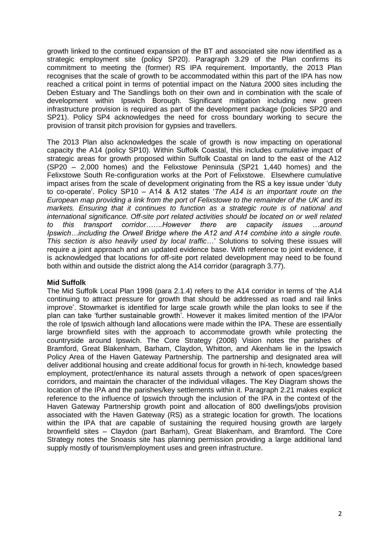growth linked to the continued expansion of the BT and associated site now identified as a strategic employment site (policy SP20). Paragraph 3.29 of the Plan confirms its commitment to meeting the (former) RS IPA requirement. Importantly, the 2013 Plan recognises that the scale of growth to be accommodated within this part of the IPA has now reached a critical point in terms of potential impact on the Natura 2000 sites including the Deben Estuary and The Sandlings both on their own and in combination with the scale of development within Ipswich Borough. Significant mitigation including new green infrastructure provision is required as part of the development package (policies SP20 and SP21). Policy SP4 acknowledges the need for cross boundary working to secure the provision of transit pitch provision for gypsies and travellers.

The 2013 Plan also acknowledges the scale of growth is now impacting on operational capacity the A14 (policy SP10). Within Suffolk Coastal, this includes cumulative impact of strategic areas for growth proposed within Suffolk Coastal on land to the east of the A12 (SP20 – 2,000 homes) and the Felixstowe Peninsula (SP21 1,440 homes) and the Felixstowe South Re-configuration works at the Port of Felixstowe. Elsewhere cumulative impact arises from the scale of development originating from the RS a key issue under 'duty to co-operate'. Policy SP10 – A14 & A12 states '*The A14 is an important route on the European map providing a link from the port of Felixstowe to the remainder of the UK and its markets. Ensuring that it continues to function as a strategic route is of national and international significance. Off-site port related activities should be located on or well related to this transport corridor…….However there are capacity issues …around Ipswich…including the Orwell Bridge where the A12 and A14 combine into a single route. This section is also heavily used by local traffic*…' Solutions to solving these issues will require a joint approach and an updated evidence base. With reference to joint evidence, it is acknowledged that locations for off-site port related development may need to be found both within and outside the district along the A14 corridor (paragraph 3.77).

# **Mid Suffolk**

The Mid Suffolk Local Plan 1998 (para 2.1.4) refers to the A14 corridor in terms of 'the A14 continuing to attract pressure for growth that should be addressed as road and rail links improve'. Stowmarket is identified for large scale growth while the plan looks to see if the plan can take 'further sustainable growth'. However it makes limited mention of the IPA/or the role of Ipswich although land allocations were made within the IPA. These are essentially large brownfield sites with the approach to accommodate growth while protecting the countryside around Ipswich. The Core Strategy (2008) Vision notes the parishes of Bramford, Great Blakenham, Barham, Claydon, Whitton, and Akenham lie in the Ipswich Policy Area of the Haven Gateway Partnership. The partnership and designated area will deliver additional housing and create additional focus for growth in hi-tech, knowledge based employment, protect/enhance its natural assets through a network of open spaces/green corridors, and maintain the character of the individual villages. The Key Diagram shows the location of the IPA and the parishes/key settlements within it. Paragraph 2.21 makes explicit reference to the influence of Ipswich through the inclusion of the IPA in the context of the Haven Gateway Partnership growth point and allocation of 800 dwellings/jobs provision associated with the Haven Gateway (RS) as a strategic location for growth. The locations within the IPA that are capable of sustaining the required housing growth are largely brownfield sites – Claydon (part Barham), Great Blakenham, and Bramford. The Core Strategy notes the Snoasis site has planning permission providing a large additional land supply mostly of tourism/employment uses and green infrastructure.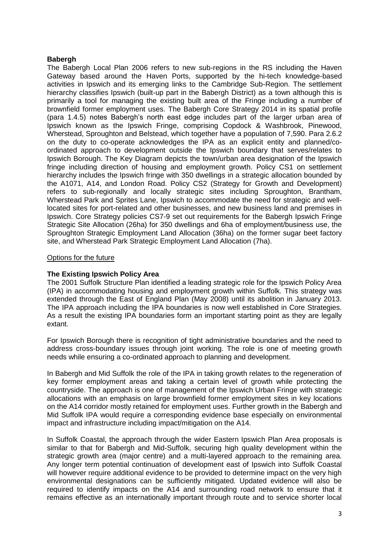### **Babergh**

The Babergh Local Plan 2006 refers to new sub-regions in the RS including the Haven Gateway based around the Haven Ports, supported by the hi-tech knowledge-based activities in Ipswich and its emerging links to the Cambridge Sub-Region. The settlement hierarchy classifies Ipswich (built-up part in the Babergh District) as a town although this is primarily a tool for managing the existing built area of the Fringe including a number of brownfield former employment uses. The Babergh Core Strategy 2014 in its spatial profile (para 1.4.5) notes Babergh's north east edge includes part of the larger urban area of Ipswich known as the Ipswich Fringe, comprising Copdock & Washbrook, Pinewood, Wherstead, Sproughton and Belstead, which together have a population of 7,590. Para 2.6.2 on the duty to co-operate acknowledges the IPA as an explicit entity and planned/coordinated approach to development outside the Ipswich boundary that serves/relates to Ipswich Borough. The Key Diagram depicts the town/urban area designation of the Ipswich fringe including direction of housing and employment growth. Policy CS1 on settlement hierarchy includes the Ipswich fringe with 350 dwellings in a strategic allocation bounded by the A1071, A14, and London Road. Policy CS2 (Strategy for Growth and Development) refers to sub-regionally and locally strategic sites including Sproughton, Brantham, Wherstead Park and Sprites Lane, Ipswich to accommodate the need for strategic and welllocated sites for port-related and other businesses, and new business land and premises in Ipswich. Core Strategy policies CS7-9 set out requirements for the Babergh Ipswich Fringe Strategic Site Allocation (26ha) for 350 dwellings and 6ha of employment/business use, the Sproughton Strategic Employment Land Allocation (36ha) on the former sugar beet factory site, and Wherstead Park Strategic Employment Land Allocation (7ha).

#### Options for the future

### **The Existing Ipswich Policy Area**

The 2001 Suffolk Structure Plan identified a leading strategic role for the Ipswich Policy Area (IPA) in accommodating housing and employment growth within Suffolk. This strategy was extended through the East of England Plan (May 2008) until its abolition in January 2013. The IPA approach including the IPA boundaries is now well established in Core Strategies. As a result the existing IPA boundaries form an important starting point as they are legally extant.

For Ipswich Borough there is recognition of tight administrative boundaries and the need to address cross-boundary issues through joint working. The role is one of meeting growth needs while ensuring a co-ordinated approach to planning and development.

In Babergh and Mid Suffolk the role of the IPA in taking growth relates to the regeneration of key former employment areas and taking a certain level of growth while protecting the countryside. The approach is one of management of the Ipswich Urban Fringe with strategic allocations with an emphasis on large brownfield former employment sites in key locations on the A14 corridor mostly retained for employment uses. Further growth in the Babergh and Mid Suffolk IPA would require a corresponding evidence base especially on environmental impact and infrastructure including impact/mitigation on the A14.

In Suffolk Coastal, the approach through the wider Eastern Ipswich Plan Area proposals is similar to that for Babergh and Mid-Suffolk, securing high quality development within the strategic growth area (major centre) and a multi-layered approach to the remaining area. Any longer term potential continuation of development east of Ipswich into Suffolk Coastal will however require additional evidence to be provided to determine impact on the very high environmental designations can be sufficiently mitigated. Updated evidence will also be required to identify impacts on the A14 and surrounding road network to ensure that it remains effective as an internationally important through route and to service shorter local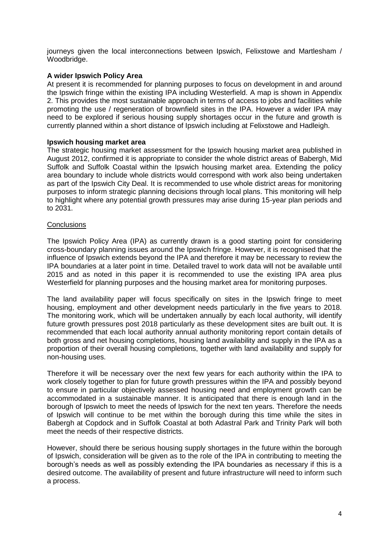journeys given the local interconnections between Ipswich, Felixstowe and Martlesham / Woodbridge.

# **A wider Ipswich Policy Area**

At present it is recommended for planning purposes to focus on development in and around the Ipswich fringe within the existing IPA including Westerfield. A map is shown in Appendix 2. This provides the most sustainable approach in terms of access to jobs and facilities while promoting the use / regeneration of brownfield sites in the IPA. However a wider IPA may need to be explored if serious housing supply shortages occur in the future and growth is currently planned within a short distance of Ipswich including at Felixstowe and Hadleigh.

# **Ipswich housing market area**

The strategic housing market assessment for the Ipswich housing market area published in August 2012, confirmed it is appropriate to consider the whole district areas of Babergh, Mid Suffolk and Suffolk Coastal within the Ipswich housing market area. Extending the policy area boundary to include whole districts would correspond with work also being undertaken as part of the Ipswich City Deal. It is recommended to use whole district areas for monitoring purposes to inform strategic planning decisions through local plans. This monitoring will help to highlight where any potential growth pressures may arise during 15-year plan periods and to 2031.

#### **Conclusions**

The Ipswich Policy Area (IPA) as currently drawn is a good starting point for considering cross-boundary planning issues around the Ipswich fringe. However, it is recognised that the influence of Ipswich extends beyond the IPA and therefore it may be necessary to review the IPA boundaries at a later point in time. Detailed travel to work data will not be available until 2015 and as noted in this paper it is recommended to use the existing IPA area plus Westerfield for planning purposes and the housing market area for monitoring purposes.

The land availability paper will focus specifically on sites in the Ipswich fringe to meet housing, employment and other development needs particularly in the five years to 2018. The monitoring work, which will be undertaken annually by each local authority, will identify future growth pressures post 2018 particularly as these development sites are built out. It is recommended that each local authority annual authority monitoring report contain details of both gross and net housing completions, housing land availability and supply in the IPA as a proportion of their overall housing completions, together with land availability and supply for non-housing uses.

Therefore it will be necessary over the next few years for each authority within the IPA to work closely together to plan for future growth pressures within the IPA and possibly beyond to ensure in particular objectively assessed housing need and employment growth can be accommodated in a sustainable manner. It is anticipated that there is enough land in the borough of Ipswich to meet the needs of Ipswich for the next ten years. Therefore the needs of Ipswich will continue to be met within the borough during this time while the sites in Babergh at Copdock and in Suffolk Coastal at both Adastral Park and Trinity Park will both meet the needs of their respective districts.

However, should there be serious housing supply shortages in the future within the borough of Ipswich, consideration will be given as to the role of the IPA in contributing to meeting the borough's needs as well as possibly extending the IPA boundaries as necessary if this is a desired outcome. The availability of present and future infrastructure will need to inform such a process.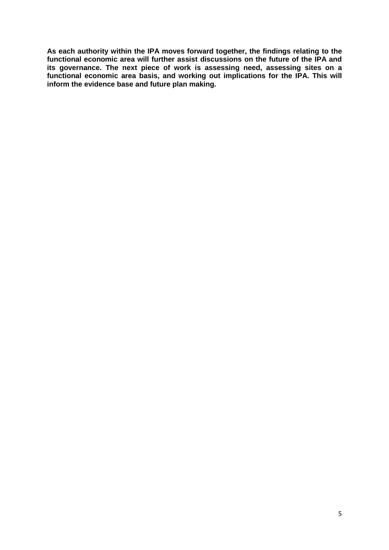**As each authority within the IPA moves forward together, the findings relating to the functional economic area will further assist discussions on the future of the IPA and its governance. The next piece of work is assessing need, assessing sites on a functional economic area basis, and working out implications for the IPA. This will inform the evidence base and future plan making.**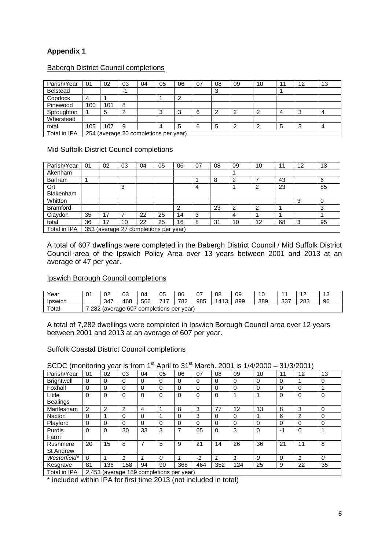# **Appendix 1**

| Parish/Year     | 01                                    | 02  | 03  | 04 | 05 | 06 | 07 | 08 | 09 | 10 | - 1 | 12 | 13             |
|-----------------|---------------------------------------|-----|-----|----|----|----|----|----|----|----|-----|----|----------------|
| <b>Belstead</b> |                                       |     | ÷ 1 |    |    |    |    | ບ  |    |    |     |    |                |
| Copdock         |                                       |     |     |    |    | ີ  |    |    |    |    |     |    |                |
| Pinewood        | 100                                   | 101 | 8   |    |    |    |    |    |    |    |     |    |                |
| Sproughton      |                                       | G   | ົ   |    | ◠  | 3  | 6  | ີ  | ົ  | ◠  |     | 3  |                |
| Wherstead       |                                       |     |     |    |    |    |    |    |    |    |     |    |                |
| total           | 105                                   | 107 | -9  |    | 4  | 5  | հ  | 5  | ີ  |    | 5   | -2 | $\overline{a}$ |
| Total in IPA    | 254 (average 20 completions per year) |     |     |    |    |    |    |    |    |    |     |    |                |

# Babergh District Council completions

# Mid Suffolk District Council completions

| Parish/Year      | 01                                    | 02 | 03 | 04 | 05 | 06 | 07 | 08 | 09 | 10 | -1 | 12 | 13 |
|------------------|---------------------------------------|----|----|----|----|----|----|----|----|----|----|----|----|
| Akenham          |                                       |    |    |    |    |    |    |    |    |    |    |    |    |
| Barham           |                                       |    |    |    |    |    |    | 8  | ົ  |    | 43 |    | 6  |
| Grt              |                                       |    | 3  |    |    |    | 4  |    |    | ົ  | 23 |    | 85 |
| <b>Blakenham</b> |                                       |    |    |    |    |    |    |    |    |    |    |    |    |
| Whitton          |                                       |    |    |    |    |    |    |    |    |    |    | 3  |    |
| <b>Bramford</b>  |                                       |    |    |    |    | ົ  |    | 23 | ົ  | ◠  |    |    | ◠  |
| Claydon          | 35                                    | 17 |    | 22 | 25 | 14 | 3  |    | 4  |    |    |    |    |
| total            | 36                                    | 17 | 10 | 22 | 25 | 16 | 8  | 31 | 10 | 12 | 68 | 3  | 95 |
| Total in IPA     | 353 (average 27 completions per year) |    |    |    |    |    |    |    |    |    |    |    |    |

A total of 607 dwellings were completed in the Babergh District Council / Mid Suffolk District Council area of the Ipswich Policy Area over 13 years between 2001 and 2013 at an average of 47 per year.

#### Ipswich Borough Council completions

| Year            | $\mathsf{A}$<br>υ | 02                                                          | 03  | 04  | 05         | 06  | $\sim$<br>U. | 08   | 09  | 10  |     | и<br><u>.</u> | $\sim$ |  |
|-----------------|-------------------|-------------------------------------------------------------|-----|-----|------------|-----|--------------|------|-----|-----|-----|---------------|--------|--|
| <b>I</b> pswich |                   | 347                                                         | 468 | 566 | – <i>–</i> | 782 | 985          | 1413 | 899 | 389 | 337 | 283           | 96     |  |
| Total           |                   | 607<br>.282<br>completions<br><i>s</i> average<br>per vear) |     |     |            |     |              |      |     |     |     |               |        |  |

A total of 7,282 dwellings were completed in Ipswich Borough Council area over 12 years between 2001 and 2013 at an average of 607 per year.

#### Suffolk Coastal District Council completions

#### SCDC (monitoring year is from 1<sup>st</sup> April to 31<sup>st</sup> March. 2001 is  $1/4/2000 - 31/3/2001$ )

| Parish/Year       | 01                                       | 02             | 03       | 04          | 05       | 06       | 07       | 08       | 09  | 10       | 11            | 12             | 13             |
|-------------------|------------------------------------------|----------------|----------|-------------|----------|----------|----------|----------|-----|----------|---------------|----------------|----------------|
| <b>Brightwell</b> | 0                                        | 0              | 0        | $\Omega$    | 0        | 0        | $\Omega$ | 0        | 0   | $\Omega$ | $\Omega$      |                | 0              |
| Foxhall           | 0                                        | 0              | $\Omega$ | 0           | 0        | 0        | $\Omega$ | 0        | 0   | 0        | 0             | $\Omega$       |                |
| Little            | 0                                        | 0              | $\Omega$ | $\Omega$    | 0        | $\Omega$ | $\Omega$ | $\Omega$ |     |          | $\Omega$      | $\Omega$       | $\Omega$       |
| <b>Bealings</b>   |                                          |                |          |             |          |          |          |          |     |          |               |                |                |
| Martlesham        | 2                                        | $\overline{2}$ | 2        | 4           |          | 8        | 3        | 77       | 12  | 13       | 8             | 3              | $\mathbf{0}$   |
| <b>Nacton</b>     | 0                                        |                | 0        | $\mathbf 0$ |          | 0        | 3        | $\Omega$ | 0   |          | 6             | $\overline{2}$ | 0              |
| Playford          | 0                                        | 0              | $\Omega$ | $\Omega$    | $\Omega$ | 0        | 0        | $\Omega$ | 0   | $\Omega$ | $\Omega$      | $\Omega$       | 0              |
| Purdis            | 0                                        | $\Omega$       | 30       | 33          | 3        | 7        | 65       | $\Omega$ | 3   | $\Omega$ | -1            | $\Omega$       |                |
| Farm              |                                          |                |          |             |          |          |          |          |     |          |               |                |                |
| Rushmere          | 20                                       | 15             | 8        | 7           | 5        | 9        | 21       | 14       | 26  | 36       | 21            | 11             | 8              |
| <b>St Andrew</b>  |                                          |                |          |             |          |          |          |          |     |          |               |                |                |
| Westerfield*      | 0                                        |                |          |             | $\Omega$ |          | $-1$     |          |     | 0        | $\mathcal{O}$ |                | $\overline{O}$ |
| Kesgrave          | 81                                       | 136            | 158      | 94          | 90       | 368      | 464      | 352      | 124 | 25       | 9             | 22             | 35             |
| Total in IDA      | 2.453 (average 180 completions per vear) |                |          |             |          |          |          |          |     |          |               |                |                |

I I otal in IPA | 2,453 (average 189 completions per year)

\* included within IPA for first time 2013 (not included in total)